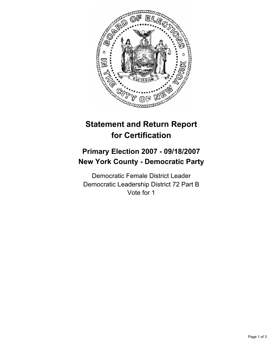

# **Statement and Return Report for Certification**

## **Primary Election 2007 - 09/18/2007 New York County - Democratic Party**

Democratic Female District Leader Democratic Leadership District 72 Part B Vote for 1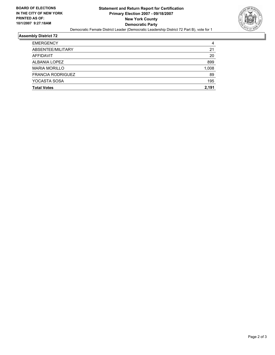

#### **Assembly District 72**

| <b>EMERGENCY</b>         | 4     |
|--------------------------|-------|
|                          |       |
| ABSENTEE/MILITARY        | 21    |
| AFFIDAVIT                | 20    |
| ALBANIA LOPEZ            | 899   |
| <b>MARIA MORILLO</b>     | 1,008 |
| <b>FRANCIA RODRIGUEZ</b> | 89    |
| YOCASTA SOSA             | 195   |
| <b>Total Votes</b>       | 2,191 |